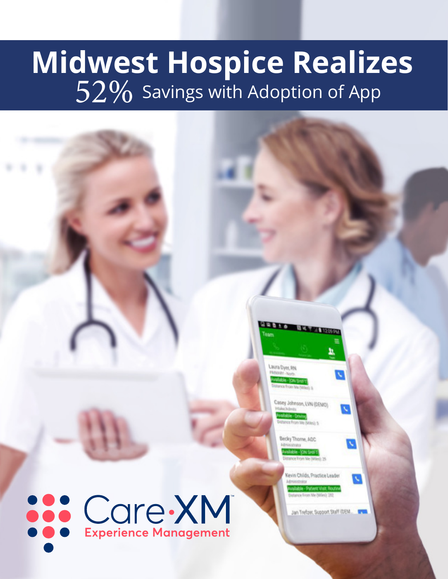# **Midwest Hospice Realizes**  $52\%$  Savings with Adoption of App

**Care XM** 

Lavora Dyer, FIN  $-1045$ 

Casey Johnson, LVN (DEMO)

Becky Thome, ADC

Gevin Childs, Practice Leader

Jan Trefzer, Support Staff (DEM.)

 $\sqrt{}$ 

 $\overline{\mathbf{v}}$ 

 $\mathbf{v}$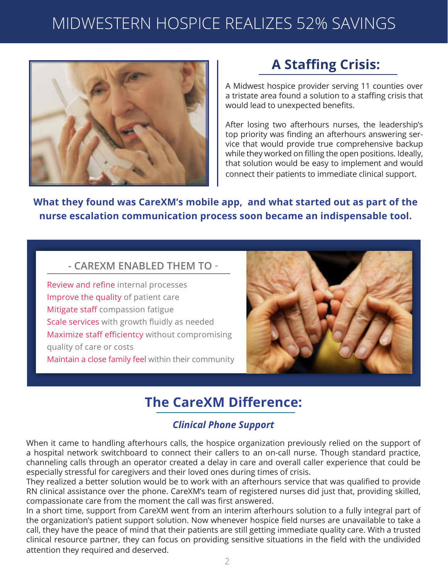

### **A Staffing Crisis:**

A Midwest hospice provider serving 11 counties over a tristate area found a solution to a staffing crisis that would lead to unexpected benefits.

After losing two afterhours nurses, the leadership's top priority was finding an afterhours answering service that would provide true comprehensive backup while they worked on filling the open positions. Ideally, that solution would be easy to implement and would connect their patients to immediate clinical support.

**What they found was CareXM's mobile app, and what started out as part of the nurse escalation communication process soon became an indispensable tool.**

#### **- CAREXM ENABLED THEM TO -**

Review and refine internal processes Improve the quality of patient care Mitigate staff compassion fatigue Scale services with growth fluidly as needed Maximize staff efficientcy without compromising quality of care or costs Maintain a close family feel within their community



### **The CareXM Difference:**

#### *Clinical Phone Support*

When it came to handling afterhours calls, the hospice organization previously relied on the support of a hospital network switchboard to connect their callers to an on-call nurse. Though standard practice, channeling calls through an operator created a delay in care and overall caller experience that could be especially stressful for caregivers and their loved ones during times of crisis.

They realized a better solution would be to work with an afterhours service that was qualified to provide RN clinical assistance over the phone. CareXM's team of registered nurses did just that, providing skilled, compassionate care from the moment the call was first answered.

In a short time, support from CareXM went from an interim afterhours solution to a fully integral part of the organization's patient support solution. Now whenever hospice field nurses are unavailable to take a call, they have the peace of mind that their patients are still getting immediate quality care. With a trusted clinical resource partner, they can focus on providing sensitive situations in the field with the undivided attention they required and deserved.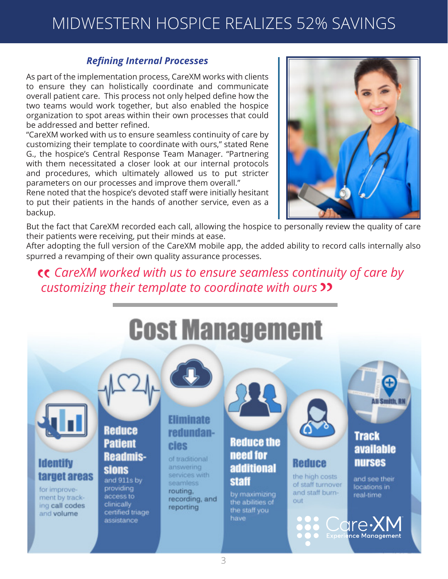#### *Refining Internal Processes*

As part of the implementation process, CareXM works with clients to ensure they can holistically coordinate and communicate overall patient care. This process not only helped define how the two teams would work together, but also enabled the hospice organization to spot areas within their own processes that could be addressed and better refined.

"CareXM worked with us to ensure seamless continuity of care by customizing their template to coordinate with ours," stated Rene G., the hospice's Central Response Team Manager. "Partnering with them necessitated a closer look at our internal protocols and procedures, which ultimately allowed us to put stricter parameters on our processes and improve them overall."

Rene noted that the hospice's devoted staff were initially hesitant to put their patients in the hands of another service, even as a backup.



But the fact that CareXM recorded each call, allowing the hospice to personally review the quality of care their patients were receiving, put their minds at ease.

After adopting the full version of the CareXM mobile app, the added ability to record calls internally also spurred a revamping of their own quality assurance processes.

 *CareXM worked with us to ensure seamless continuity of care by*  "*customizing their template to coordinate with ours* ייו<br>2)<br>—

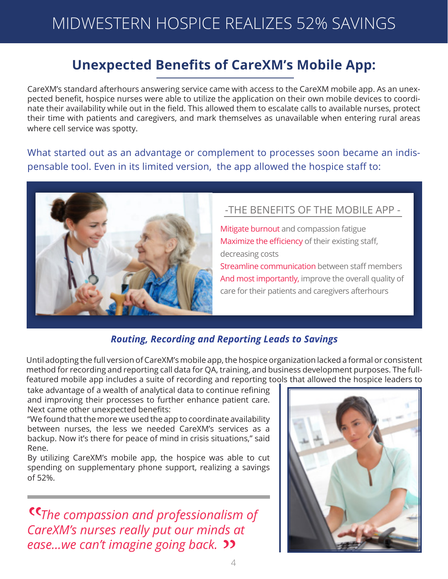### **Unexpected Benefits of CareXM's Mobile App:**

CareXM's standard afterhours answering service came with access to the CareXM mobile app. As an unexpected benefit, hospice nurses were able to utilize the application on their own mobile devices to coordinate their availability while out in the field. This allowed them to escalate calls to available nurses, protect their time with patients and caregivers, and mark themselves as unavailable when entering rural areas where cell service was spotty.

What started out as an advantage or complement to processes soon became an indispensable tool. Even in its limited version, the app allowed the hospice staff to:



### -THE BENEFITS OF THE MOBILE APP -

Mitigate burnout and compassion fatigue Maximize the efficiency of their existing staff, decreasing costs Streamline communication between staff members And most importantly, improve the overall quality of care for their patients and caregivers afterhours

#### *Routing, Recording and Reporting Leads to Savings*

Until adopting the full version of CareXM's mobile app, the hospice organization lacked a formal or consistent method for recording and reporting call data for QA, training, and business development purposes. The fullfeatured mobile app includes a suite of recording and reporting tools that allowed the hospice leaders to

take advantage of a wealth of analytical data to continue refining and improving their processes to further enhance patient care. Next came other unexpected benefits:

"We found that the more we used the app to coordinate availability between nurses, the less we needed CareXM's services as a backup. Now it's there for peace of mind in crisis situations," said Rene.

By utilizing CareXM's mobile app, the hospice was able to cut spending on supplementary phone support, realizing a savings of 52%.

 *The compassion and professionalism of*  "*CareXM's nurses really put our minds at ease...we can't imagine going back.*  $\frac{1}{\sqrt{2}}$